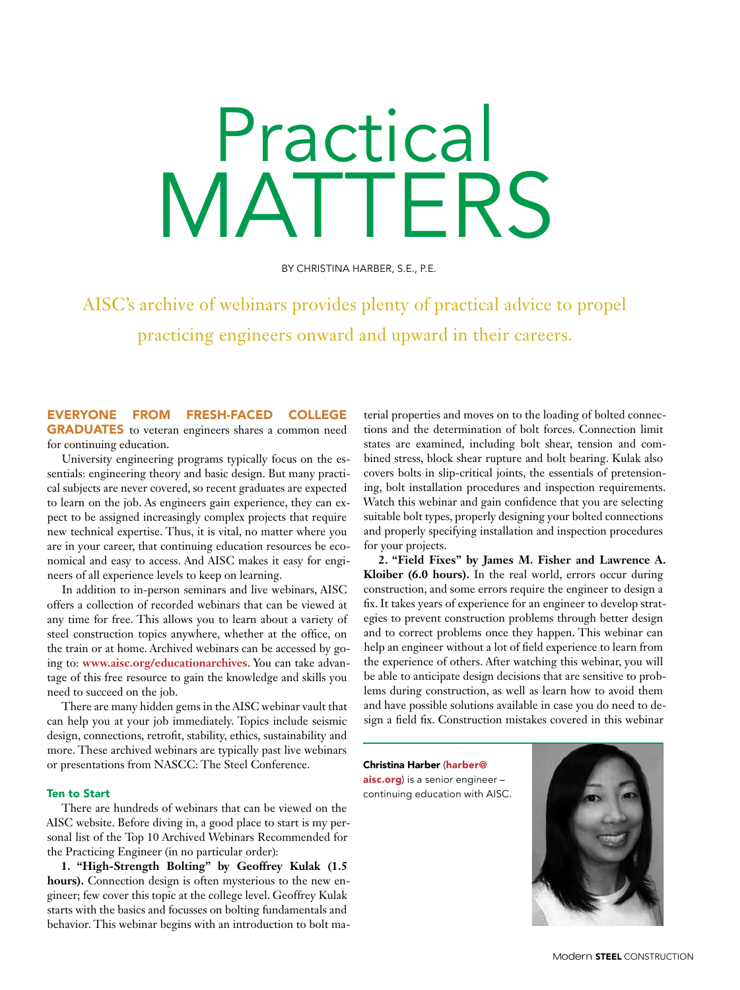Practical MATTERS

BY CHRISTINA HARBER, S.E., P.E.

AISC's archive of webinars provides plenty of practical advice to propel practicing engineers onward and upward in their careers.

EVERYONE FROM FRESH-FACED COLLEGE GRADUATES to veteran engineers shares a common need for continuing education.

University engineering programs typically focus on the essentials: engineering theory and basic design. But many practical subjects are never covered, so recent graduates are expected to learn on the job. As engineers gain experience, they can expect to be assigned increasingly complex projects that require new technical expertise. Thus, it is vital, no matter where you are in your career, that continuing education resources be economical and easy to access. And AISC makes it easy for engineers of all experience levels to keep on learning.

In addition to in-person seminars and live webinars, AISC offers a collection of recorded webinars that can be viewed at any time for free. This allows you to learn about a variety of steel construction topics anywhere, whether at the office, on the train or at home. Archived webinars can be accessed by going to: **www.aisc.org/educationarchives**. You can take advantage of this free resource to gain the knowledge and skills you need to succeed on the job.

There are many hidden gems in the AISC webinar vault that can help you at your job immediately. Topics include seismic design, connections, retrofit, stability, ethics, sustainability and more. These archived webinars are typically past live webinars or presentations from NASCC: The Steel Conference.

## Ten to Start

There are hundreds of webinars that can be viewed on the AISC website. Before diving in, a good place to start is my personal list of the Top 10 Archived Webinars Recommended for the Practicing Engineer (in no particular order):

**1. "High-Strength Bolting" by Geoffrey Kulak (1.5 hours).** Connection design is often mysterious to the new engineer; few cover this topic at the college level. Geoffrey Kulak starts with the basics and focusses on bolting fundamentals and behavior. This webinar begins with an introduction to bolt ma-

terial properties and moves on to the loading of bolted connections and the determination of bolt forces. Connection limit states are examined, including bolt shear, tension and combined stress, block shear rupture and bolt bearing. Kulak also covers bolts in slip-critical joints, the essentials of pretensioning, bolt installation procedures and inspection requirements. Watch this webinar and gain confidence that you are selecting suitable bolt types, properly designing your bolted connections and properly specifying installation and inspection procedures for your projects.

**2. "Field Fixes" by James M. Fisher and Lawrence A. Kloiber (6.0 hours).** In the real world, errors occur during construction, and some errors require the engineer to design a fix. It takes years of experience for an engineer to develop strategies to prevent construction problems through better design and to correct problems once they happen. This webinar can help an engineer without a lot of field experience to learn from the experience of others. After watching this webinar, you will be able to anticipate design decisions that are sensitive to problems during construction, as well as learn how to avoid them and have possible solutions available in case you do need to design a field fix. Construction mistakes covered in this webinar

Christina Harber (harber@ aisc.org) is a senior engineer continuing education with AISC.

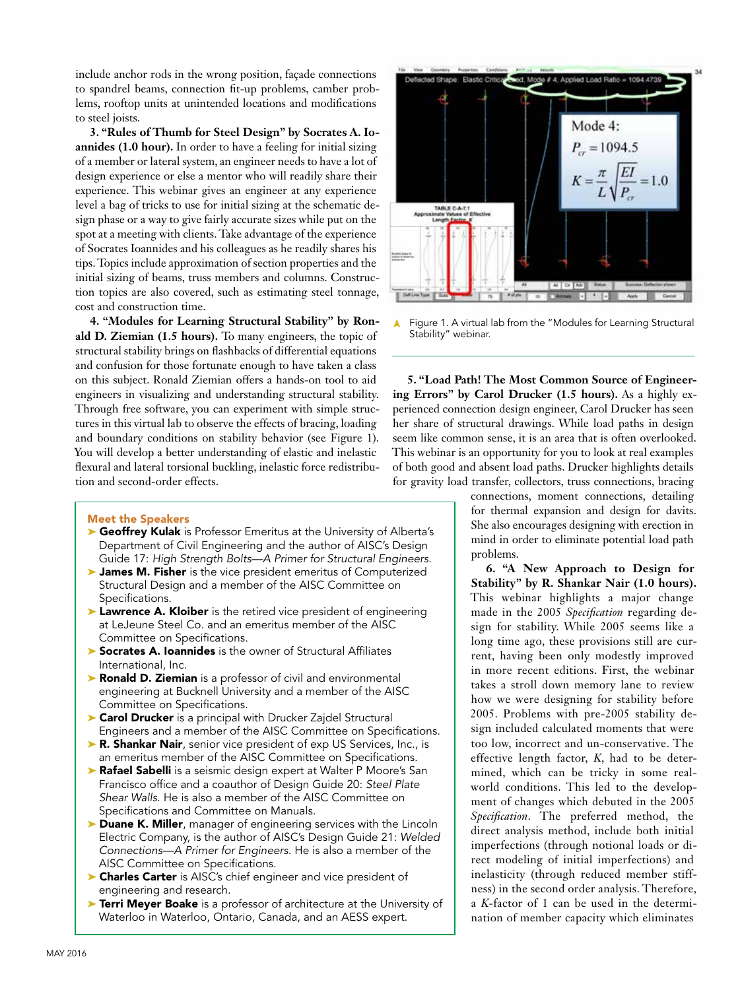include anchor rods in the wrong position, façade connections to spandrel beams, connection fit-up problems, camber problems, rooftop units at unintended locations and modifications to steel joists.

**3. "Rules of Thumb for Steel Design" by Socrates A. Ioannides (1.0 hour).** In order to have a feeling for initial sizing of a member or lateral system, an engineer needs to have a lot of design experience or else a mentor who will readily share their experience. This webinar gives an engineer at any experience level a bag of tricks to use for initial sizing at the schematic design phase or a way to give fairly accurate sizes while put on the spot at a meeting with clients. Take advantage of the experience of Socrates Ioannides and his colleagues as he readily shares his tips. Topics include approximation of section properties and the initial sizing of beams, truss members and columns. Construction topics are also covered, such as estimating steel tonnage, cost and construction time.

**4. "Modules for Learning Structural Stability" by Ronald D. Ziemian (1.5 hours).** To many engineers, the topic of structural stability brings on flashbacks of differential equations and confusion for those fortunate enough to have taken a class on this subject. Ronald Ziemian offers a hands-on tool to aid engineers in visualizing and understanding structural stability. Through free software, you can experiment with simple structures in this virtual lab to observe the effects of bracing, loading and boundary conditions on stability behavior (see Figure 1). You will develop a better understanding of elastic and inelastic flexural and lateral torsional buckling, inelastic force redistribution and second-order effects.

## Meet the Speakers

- ▶ Geoffrey Kulak is Professor Emeritus at the University of Alberta's Department of Civil Engineering and the author of AISC's Design Guide 17: *High Strength Bolts—A Primer for Structural Engineers*.
- ➤ James M. Fisher is the vice president emeritus of Computerized Structural Design and a member of the AISC Committee on Specifications.
- ► Lawrence A. Kloiber is the retired vice president of engineering at LeJeune Steel Co. and an emeritus member of the AISC Committee on Specifications.
- ➤ Socrates A. Ioannides is the owner of Structural Affiliates International, Inc.
- ▶ Ronald D. Ziemian is a professor of civil and environmental engineering at Bucknell University and a member of the AISC Committee on Specifications.
- ► Carol Drucker is a principal with Drucker Zajdel Structural Engineers and a member of the AISC Committee on Specifications.
- ► R. Shankar Nair, senior vice president of exp US Services, Inc., is an emeritus member of the AISC Committee on Specifications.
- ▶ Rafael Sabelli is a seismic design expert at Walter P Moore's San Francisco office and a coauthor of Design Guide 20: *Steel Plate Shear Walls*. He is also a member of the AISC Committee on Specifications and Committee on Manuals.
- ▶ Duane K. Miller, manager of engineering services with the Lincoln Electric Company, is the author of AISC's Design Guide 21: *Welded Connections—A Primer for Engineers*. He is also a member of the AISC Committee on Specifications.
- ► Charles Carter is AISC's chief engineer and vice president of engineering and research.
- ▶ Terri Meyer Boake is a professor of architecture at the University of Waterloo in Waterloo, Ontario, Canada, and an AESS expert.



Figure 1. A virtual lab from the "Modules for Learning Structural Stability" webinar. ➤

**5. "Load Path! The Most Common Source of Engineering Errors" by Carol Drucker (1.5 hours).** As a highly experienced connection design engineer, Carol Drucker has seen her share of structural drawings. While load paths in design seem like common sense, it is an area that is often overlooked. This webinar is an opportunity for you to look at real examples of both good and absent load paths. Drucker highlights details for gravity load transfer, collectors, truss connections, bracing

> connections, moment connections, detailing for thermal expansion and design for davits. She also encourages designing with erection in mind in order to eliminate potential load path problems.

> **6. "A New Approach to Design for Stability" by R. Shankar Nair (1.0 hours).**  This webinar highlights a major change made in the 2005 *Specification* regarding design for stability. While 2005 seems like a long time ago, these provisions still are current, having been only modestly improved in more recent editions. First, the webinar takes a stroll down memory lane to review how we were designing for stability before 2005. Problems with pre-2005 stability design included calculated moments that were too low, incorrect and un-conservative. The effective length factor, *K*, had to be determined, which can be tricky in some realworld conditions. This led to the development of changes which debuted in the 2005 *Specification*. The preferred method, the direct analysis method, include both initial imperfections (through notional loads or direct modeling of initial imperfections) and inelasticity (through reduced member stiffness) in the second order analysis. Therefore, a *K*-factor of 1 can be used in the determination of member capacity which eliminates